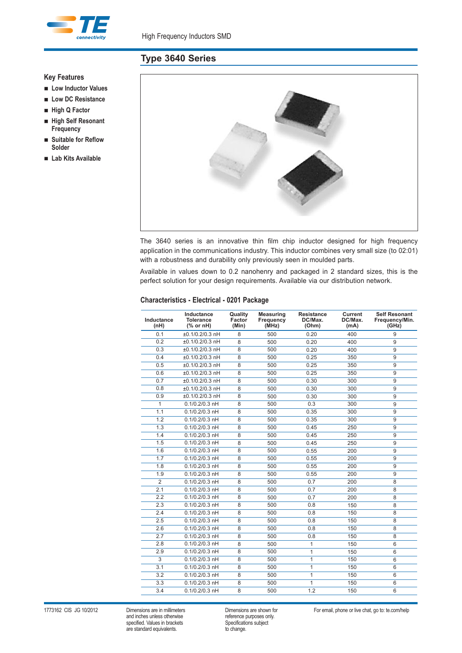

# **Type 3640 Series**

## **Key Features**

- n **Low Inductor Values**
- Low DC Resistance
- n **High Q Factor**
- High Self Resonant **Frequency**
- n **Suitable for Reflow Solder**
- n **Lab Kits Available**



The 3640 series is an innovative thin film chip inductor designed for high frequency application in the communications industry. This inductor combines very small size (to 02:01) with a robustness and durability only previously seen in moulded parts.

Available in values down to 0.2 nanohenry and packaged in 2 standard sizes, this is the perfect solution for your design requirements. Available via our distribution network.

### **Characteristics - Electrical - 0201 Package**

| 0.1<br>±0.1/0.2/0.3 nH<br>8<br>500<br>0.20<br>400<br>9<br>0.2<br>$±0.1/0.2/0.3$ nH<br>8<br>500<br>0.20<br>400<br>9<br>0.3<br>±0.1/0.2/0.3 nH<br>8<br>500<br>$\overline{9}$<br>0.20<br>400<br>$±0.1/0.2/0.3$ nH<br>$\overline{8}$<br>0.4<br>500<br>0.25<br>350<br>9<br>0.5<br>±0.1/0.2/0.3 nH<br>8<br>500<br>0.25<br>350<br>9<br>0.6<br>±0.1/0.2/0.3 nH<br>$\overline{8}$<br>350<br>500<br>0.25<br>9<br>$±0.1/0.2/0.3$ nH<br>0.7<br>8<br>500<br>0.30<br>300<br>9<br>0.8<br>±0.1/0.2/0.3 nH<br>8<br>500<br>0.30<br>300<br>9<br>0.9<br>300<br>±0.1/0.2/0.3 nH<br>8<br>500<br>0.30<br>9<br>$\mathbf{1}$<br>$0.1/0.2/0.3$ nH<br>8<br>500<br>0.3<br>300<br>9<br>1.1<br>$0.1/0.2/0.3$ nH<br>8<br>500<br>0.35<br>300<br>9<br>1.2<br>$\overline{8}$<br>$0.1/0.2/0.3$ nH<br>500<br>0.35<br>300<br>9<br>1.3<br>$0.1/0.2/0.3$ nH<br>8<br>500<br>0.45<br>250<br>9<br>1.4<br>$0.1/0.2/0.3$ nH<br>8<br>250<br>500<br>0.45<br>9<br>1.5<br>$\overline{8}$<br>$0.1/0.2/0.3$ nH<br>500<br>0.45<br>250<br>9<br>$0.1/0.2/0.3$ nH<br>8<br>500<br>0.55<br>200<br>9<br>1.6<br>$0.1/0.2/0.3$ nH<br>$\overline{8}$<br>1.7<br>500<br>0.55<br>200<br>9<br>$0.1/0.2/0.3$ nH<br>1.8<br>8<br>500<br>0.55<br>200<br>9<br>1.9<br>$0.1/0.2/0.3$ nH<br>8<br>500<br>0.55<br>9<br>200<br>$\overline{2}$<br>$0.1/0.2/0.3$ nH<br>$\overline{8}$<br>500<br>$\overline{8}$<br>0.7<br>200<br>2.1<br>$0.1/0.2/0.3$ nH<br>8<br>500<br>0.7<br>200<br>8<br>2.2<br>$0.1/0.2/0.3$ nH<br>8<br>500<br>0.7<br>200<br>8<br>$0.1/0.2/0.3$ nH<br>$\overline{8}$<br>500<br>150<br>2.3<br>0.8<br>8<br>$\overline{8}$<br>2.4<br>$0.1/0.2/0.3$ nH<br>500<br>0.8<br>150<br>8<br>2.5<br>$0.1/0.2/0.3$ nH<br>8<br>500<br>150<br>0.8<br>8<br>$0.1/0.2/0.3$ nH<br>$\overline{8}$<br>500<br>2.6<br>0.8<br>150<br>8<br>2.7<br>$0.1/0.2/0.3$ nH<br>8<br>500<br>150<br>8<br>0.8<br>$0.1/0.2/0.3$ nH<br>8<br>500<br>$\mathbf{1}$<br>150<br>6<br>2.8<br>2.9<br>$0.1/0.2/0.3$ nH<br>$\overline{8}$<br>500<br>$\mathbf{1}$<br>150<br>6<br>$\overline{3}$<br>$\mathbf{1}$<br>150<br>$0.1/0.2/0.3$ nH<br>8<br>500<br>6<br>$\mathbf{1}$<br>3.1<br>$0.1/0.2/0.3$ nH<br>8<br>500<br>150<br>6<br>$\overline{3.2}$<br>8<br>500<br>$\mathbf{1}$<br>$0.1/0.2/0.3$ nH<br>150<br>6<br>$0.1/0.2/0.3$ nH<br>3.3<br>8<br>500<br>$\mathbf{1}$<br>150<br>6<br>$0.1/0.2/0.3$ nH<br>8<br>500<br>1.2<br>150<br>6<br>3.4 | Inductance<br>(nH) | Inductance<br><b>Tolerance</b><br>$%$ or nH) | Quality<br>Factor<br>(Min) | <b>Measuring</b><br>Frequency<br>(MHz) | <b>Resistance</b><br>DC/Max.<br>(Ohm) | <b>Current</b><br>DC/Max.<br>(mA) | <b>Self Resonant</b><br>Frequency/Min.<br>(GHz) |
|-------------------------------------------------------------------------------------------------------------------------------------------------------------------------------------------------------------------------------------------------------------------------------------------------------------------------------------------------------------------------------------------------------------------------------------------------------------------------------------------------------------------------------------------------------------------------------------------------------------------------------------------------------------------------------------------------------------------------------------------------------------------------------------------------------------------------------------------------------------------------------------------------------------------------------------------------------------------------------------------------------------------------------------------------------------------------------------------------------------------------------------------------------------------------------------------------------------------------------------------------------------------------------------------------------------------------------------------------------------------------------------------------------------------------------------------------------------------------------------------------------------------------------------------------------------------------------------------------------------------------------------------------------------------------------------------------------------------------------------------------------------------------------------------------------------------------------------------------------------------------------------------------------------------------------------------------------------------------------------------------------------------------------------------------------------------------------------------------------------------------------------------------------------------------------------------------------------------------------------------------------------------------------------------------------------------------------|--------------------|----------------------------------------------|----------------------------|----------------------------------------|---------------------------------------|-----------------------------------|-------------------------------------------------|
|                                                                                                                                                                                                                                                                                                                                                                                                                                                                                                                                                                                                                                                                                                                                                                                                                                                                                                                                                                                                                                                                                                                                                                                                                                                                                                                                                                                                                                                                                                                                                                                                                                                                                                                                                                                                                                                                                                                                                                                                                                                                                                                                                                                                                                                                                                                               |                    |                                              |                            |                                        |                                       |                                   |                                                 |
|                                                                                                                                                                                                                                                                                                                                                                                                                                                                                                                                                                                                                                                                                                                                                                                                                                                                                                                                                                                                                                                                                                                                                                                                                                                                                                                                                                                                                                                                                                                                                                                                                                                                                                                                                                                                                                                                                                                                                                                                                                                                                                                                                                                                                                                                                                                               |                    |                                              |                            |                                        |                                       |                                   |                                                 |
|                                                                                                                                                                                                                                                                                                                                                                                                                                                                                                                                                                                                                                                                                                                                                                                                                                                                                                                                                                                                                                                                                                                                                                                                                                                                                                                                                                                                                                                                                                                                                                                                                                                                                                                                                                                                                                                                                                                                                                                                                                                                                                                                                                                                                                                                                                                               |                    |                                              |                            |                                        |                                       |                                   |                                                 |
|                                                                                                                                                                                                                                                                                                                                                                                                                                                                                                                                                                                                                                                                                                                                                                                                                                                                                                                                                                                                                                                                                                                                                                                                                                                                                                                                                                                                                                                                                                                                                                                                                                                                                                                                                                                                                                                                                                                                                                                                                                                                                                                                                                                                                                                                                                                               |                    |                                              |                            |                                        |                                       |                                   |                                                 |
|                                                                                                                                                                                                                                                                                                                                                                                                                                                                                                                                                                                                                                                                                                                                                                                                                                                                                                                                                                                                                                                                                                                                                                                                                                                                                                                                                                                                                                                                                                                                                                                                                                                                                                                                                                                                                                                                                                                                                                                                                                                                                                                                                                                                                                                                                                                               |                    |                                              |                            |                                        |                                       |                                   |                                                 |
|                                                                                                                                                                                                                                                                                                                                                                                                                                                                                                                                                                                                                                                                                                                                                                                                                                                                                                                                                                                                                                                                                                                                                                                                                                                                                                                                                                                                                                                                                                                                                                                                                                                                                                                                                                                                                                                                                                                                                                                                                                                                                                                                                                                                                                                                                                                               |                    |                                              |                            |                                        |                                       |                                   |                                                 |
|                                                                                                                                                                                                                                                                                                                                                                                                                                                                                                                                                                                                                                                                                                                                                                                                                                                                                                                                                                                                                                                                                                                                                                                                                                                                                                                                                                                                                                                                                                                                                                                                                                                                                                                                                                                                                                                                                                                                                                                                                                                                                                                                                                                                                                                                                                                               |                    |                                              |                            |                                        |                                       |                                   |                                                 |
|                                                                                                                                                                                                                                                                                                                                                                                                                                                                                                                                                                                                                                                                                                                                                                                                                                                                                                                                                                                                                                                                                                                                                                                                                                                                                                                                                                                                                                                                                                                                                                                                                                                                                                                                                                                                                                                                                                                                                                                                                                                                                                                                                                                                                                                                                                                               |                    |                                              |                            |                                        |                                       |                                   |                                                 |
|                                                                                                                                                                                                                                                                                                                                                                                                                                                                                                                                                                                                                                                                                                                                                                                                                                                                                                                                                                                                                                                                                                                                                                                                                                                                                                                                                                                                                                                                                                                                                                                                                                                                                                                                                                                                                                                                                                                                                                                                                                                                                                                                                                                                                                                                                                                               |                    |                                              |                            |                                        |                                       |                                   |                                                 |
|                                                                                                                                                                                                                                                                                                                                                                                                                                                                                                                                                                                                                                                                                                                                                                                                                                                                                                                                                                                                                                                                                                                                                                                                                                                                                                                                                                                                                                                                                                                                                                                                                                                                                                                                                                                                                                                                                                                                                                                                                                                                                                                                                                                                                                                                                                                               |                    |                                              |                            |                                        |                                       |                                   |                                                 |
|                                                                                                                                                                                                                                                                                                                                                                                                                                                                                                                                                                                                                                                                                                                                                                                                                                                                                                                                                                                                                                                                                                                                                                                                                                                                                                                                                                                                                                                                                                                                                                                                                                                                                                                                                                                                                                                                                                                                                                                                                                                                                                                                                                                                                                                                                                                               |                    |                                              |                            |                                        |                                       |                                   |                                                 |
|                                                                                                                                                                                                                                                                                                                                                                                                                                                                                                                                                                                                                                                                                                                                                                                                                                                                                                                                                                                                                                                                                                                                                                                                                                                                                                                                                                                                                                                                                                                                                                                                                                                                                                                                                                                                                                                                                                                                                                                                                                                                                                                                                                                                                                                                                                                               |                    |                                              |                            |                                        |                                       |                                   |                                                 |
|                                                                                                                                                                                                                                                                                                                                                                                                                                                                                                                                                                                                                                                                                                                                                                                                                                                                                                                                                                                                                                                                                                                                                                                                                                                                                                                                                                                                                                                                                                                                                                                                                                                                                                                                                                                                                                                                                                                                                                                                                                                                                                                                                                                                                                                                                                                               |                    |                                              |                            |                                        |                                       |                                   |                                                 |
|                                                                                                                                                                                                                                                                                                                                                                                                                                                                                                                                                                                                                                                                                                                                                                                                                                                                                                                                                                                                                                                                                                                                                                                                                                                                                                                                                                                                                                                                                                                                                                                                                                                                                                                                                                                                                                                                                                                                                                                                                                                                                                                                                                                                                                                                                                                               |                    |                                              |                            |                                        |                                       |                                   |                                                 |
|                                                                                                                                                                                                                                                                                                                                                                                                                                                                                                                                                                                                                                                                                                                                                                                                                                                                                                                                                                                                                                                                                                                                                                                                                                                                                                                                                                                                                                                                                                                                                                                                                                                                                                                                                                                                                                                                                                                                                                                                                                                                                                                                                                                                                                                                                                                               |                    |                                              |                            |                                        |                                       |                                   |                                                 |
|                                                                                                                                                                                                                                                                                                                                                                                                                                                                                                                                                                                                                                                                                                                                                                                                                                                                                                                                                                                                                                                                                                                                                                                                                                                                                                                                                                                                                                                                                                                                                                                                                                                                                                                                                                                                                                                                                                                                                                                                                                                                                                                                                                                                                                                                                                                               |                    |                                              |                            |                                        |                                       |                                   |                                                 |
|                                                                                                                                                                                                                                                                                                                                                                                                                                                                                                                                                                                                                                                                                                                                                                                                                                                                                                                                                                                                                                                                                                                                                                                                                                                                                                                                                                                                                                                                                                                                                                                                                                                                                                                                                                                                                                                                                                                                                                                                                                                                                                                                                                                                                                                                                                                               |                    |                                              |                            |                                        |                                       |                                   |                                                 |
|                                                                                                                                                                                                                                                                                                                                                                                                                                                                                                                                                                                                                                                                                                                                                                                                                                                                                                                                                                                                                                                                                                                                                                                                                                                                                                                                                                                                                                                                                                                                                                                                                                                                                                                                                                                                                                                                                                                                                                                                                                                                                                                                                                                                                                                                                                                               |                    |                                              |                            |                                        |                                       |                                   |                                                 |
|                                                                                                                                                                                                                                                                                                                                                                                                                                                                                                                                                                                                                                                                                                                                                                                                                                                                                                                                                                                                                                                                                                                                                                                                                                                                                                                                                                                                                                                                                                                                                                                                                                                                                                                                                                                                                                                                                                                                                                                                                                                                                                                                                                                                                                                                                                                               |                    |                                              |                            |                                        |                                       |                                   |                                                 |
|                                                                                                                                                                                                                                                                                                                                                                                                                                                                                                                                                                                                                                                                                                                                                                                                                                                                                                                                                                                                                                                                                                                                                                                                                                                                                                                                                                                                                                                                                                                                                                                                                                                                                                                                                                                                                                                                                                                                                                                                                                                                                                                                                                                                                                                                                                                               |                    |                                              |                            |                                        |                                       |                                   |                                                 |
|                                                                                                                                                                                                                                                                                                                                                                                                                                                                                                                                                                                                                                                                                                                                                                                                                                                                                                                                                                                                                                                                                                                                                                                                                                                                                                                                                                                                                                                                                                                                                                                                                                                                                                                                                                                                                                                                                                                                                                                                                                                                                                                                                                                                                                                                                                                               |                    |                                              |                            |                                        |                                       |                                   |                                                 |
|                                                                                                                                                                                                                                                                                                                                                                                                                                                                                                                                                                                                                                                                                                                                                                                                                                                                                                                                                                                                                                                                                                                                                                                                                                                                                                                                                                                                                                                                                                                                                                                                                                                                                                                                                                                                                                                                                                                                                                                                                                                                                                                                                                                                                                                                                                                               |                    |                                              |                            |                                        |                                       |                                   |                                                 |
|                                                                                                                                                                                                                                                                                                                                                                                                                                                                                                                                                                                                                                                                                                                                                                                                                                                                                                                                                                                                                                                                                                                                                                                                                                                                                                                                                                                                                                                                                                                                                                                                                                                                                                                                                                                                                                                                                                                                                                                                                                                                                                                                                                                                                                                                                                                               |                    |                                              |                            |                                        |                                       |                                   |                                                 |
|                                                                                                                                                                                                                                                                                                                                                                                                                                                                                                                                                                                                                                                                                                                                                                                                                                                                                                                                                                                                                                                                                                                                                                                                                                                                                                                                                                                                                                                                                                                                                                                                                                                                                                                                                                                                                                                                                                                                                                                                                                                                                                                                                                                                                                                                                                                               |                    |                                              |                            |                                        |                                       |                                   |                                                 |
|                                                                                                                                                                                                                                                                                                                                                                                                                                                                                                                                                                                                                                                                                                                                                                                                                                                                                                                                                                                                                                                                                                                                                                                                                                                                                                                                                                                                                                                                                                                                                                                                                                                                                                                                                                                                                                                                                                                                                                                                                                                                                                                                                                                                                                                                                                                               |                    |                                              |                            |                                        |                                       |                                   |                                                 |
|                                                                                                                                                                                                                                                                                                                                                                                                                                                                                                                                                                                                                                                                                                                                                                                                                                                                                                                                                                                                                                                                                                                                                                                                                                                                                                                                                                                                                                                                                                                                                                                                                                                                                                                                                                                                                                                                                                                                                                                                                                                                                                                                                                                                                                                                                                                               |                    |                                              |                            |                                        |                                       |                                   |                                                 |
|                                                                                                                                                                                                                                                                                                                                                                                                                                                                                                                                                                                                                                                                                                                                                                                                                                                                                                                                                                                                                                                                                                                                                                                                                                                                                                                                                                                                                                                                                                                                                                                                                                                                                                                                                                                                                                                                                                                                                                                                                                                                                                                                                                                                                                                                                                                               |                    |                                              |                            |                                        |                                       |                                   |                                                 |
|                                                                                                                                                                                                                                                                                                                                                                                                                                                                                                                                                                                                                                                                                                                                                                                                                                                                                                                                                                                                                                                                                                                                                                                                                                                                                                                                                                                                                                                                                                                                                                                                                                                                                                                                                                                                                                                                                                                                                                                                                                                                                                                                                                                                                                                                                                                               |                    |                                              |                            |                                        |                                       |                                   |                                                 |
|                                                                                                                                                                                                                                                                                                                                                                                                                                                                                                                                                                                                                                                                                                                                                                                                                                                                                                                                                                                                                                                                                                                                                                                                                                                                                                                                                                                                                                                                                                                                                                                                                                                                                                                                                                                                                                                                                                                                                                                                                                                                                                                                                                                                                                                                                                                               |                    |                                              |                            |                                        |                                       |                                   |                                                 |
|                                                                                                                                                                                                                                                                                                                                                                                                                                                                                                                                                                                                                                                                                                                                                                                                                                                                                                                                                                                                                                                                                                                                                                                                                                                                                                                                                                                                                                                                                                                                                                                                                                                                                                                                                                                                                                                                                                                                                                                                                                                                                                                                                                                                                                                                                                                               |                    |                                              |                            |                                        |                                       |                                   |                                                 |
|                                                                                                                                                                                                                                                                                                                                                                                                                                                                                                                                                                                                                                                                                                                                                                                                                                                                                                                                                                                                                                                                                                                                                                                                                                                                                                                                                                                                                                                                                                                                                                                                                                                                                                                                                                                                                                                                                                                                                                                                                                                                                                                                                                                                                                                                                                                               |                    |                                              |                            |                                        |                                       |                                   |                                                 |
|                                                                                                                                                                                                                                                                                                                                                                                                                                                                                                                                                                                                                                                                                                                                                                                                                                                                                                                                                                                                                                                                                                                                                                                                                                                                                                                                                                                                                                                                                                                                                                                                                                                                                                                                                                                                                                                                                                                                                                                                                                                                                                                                                                                                                                                                                                                               |                    |                                              |                            |                                        |                                       |                                   |                                                 |
|                                                                                                                                                                                                                                                                                                                                                                                                                                                                                                                                                                                                                                                                                                                                                                                                                                                                                                                                                                                                                                                                                                                                                                                                                                                                                                                                                                                                                                                                                                                                                                                                                                                                                                                                                                                                                                                                                                                                                                                                                                                                                                                                                                                                                                                                                                                               |                    |                                              |                            |                                        |                                       |                                   |                                                 |
|                                                                                                                                                                                                                                                                                                                                                                                                                                                                                                                                                                                                                                                                                                                                                                                                                                                                                                                                                                                                                                                                                                                                                                                                                                                                                                                                                                                                                                                                                                                                                                                                                                                                                                                                                                                                                                                                                                                                                                                                                                                                                                                                                                                                                                                                                                                               |                    |                                              |                            |                                        |                                       |                                   |                                                 |

1773162 CIS JG 10/2012 Dimensions are in millimeters<br>
and inches unless otherwise<br>
specificed. Values in brackets Specifications subject<br>
Specifications subject and inches unless otherwise specified. Values in brackets Specifications Specifications subsets Specifications subsets Specifications subsets of the standard equivalents. are standard equivalents.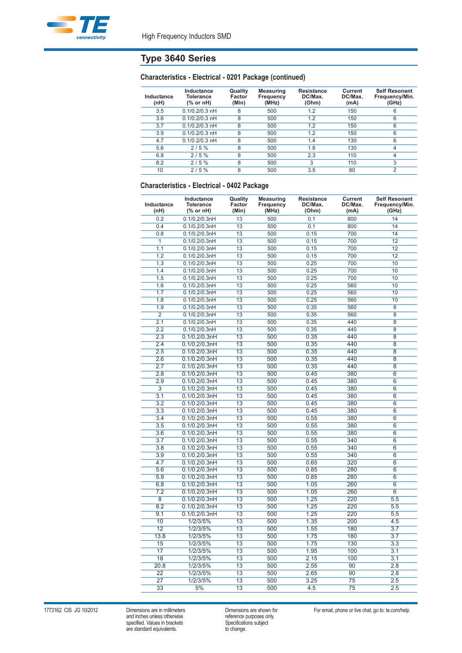

# **Type 3640 Series**

## **Characteristics - Electrical - 0201 Package (continued)**

| Inductance<br>(nH) | Inductance<br><b>Tolerance</b><br>(% or nH) | Quality<br>Factor<br>(Min) | Measuring<br><b>Frequency</b><br>(MHz) | <b>Resistance</b><br>DC/Max.<br>(Ohm) | Current<br>DC/Max.<br>(mA) | <b>Self Resonant</b><br>Frequency/Min.<br>(GHz) |
|--------------------|---------------------------------------------|----------------------------|----------------------------------------|---------------------------------------|----------------------------|-------------------------------------------------|
| 3.5                | $0.1/0.2/0.3$ nH                            | 8                          | 500                                    | 1.2                                   | 150                        | 6                                               |
| 3.6                | $0.1/0.2/0.3$ nH                            | 8                          | 500                                    | 1.2                                   | 150                        | 6                                               |
| 3.7                | $0.1/0.2/0.3$ nH                            | 8                          | 500                                    | 1.2                                   | 150                        | 6                                               |
| 3.9                | $0.1/0.2/0.3$ nH                            | 8                          | 500                                    | 1.2                                   | 150                        | 6                                               |
| 4.7                | $0.1/0.2/0.3$ nH                            | 8                          | 500                                    | 1.4                                   | 130                        | 6                                               |
| 5.6                | 2/5%                                        | 8                          | 500                                    | 1.8                                   | 130                        | 4                                               |
| 6.8                | 2/5%                                        | 8                          | 500                                    | 2.3                                   | 110                        | 4                                               |
| 8.2                | 2/5%                                        | 8                          | 500                                    | 3                                     | 110                        | 3                                               |
| 10                 | 2/5%                                        | 8                          | 500                                    | 3.5                                   | 80                         | 2                                               |

## **Characteristics - Electrical - 0402 Package**

| Inductance<br>(nH) | Inductance<br><b>Tolerance</b><br>(% or nH) | Quality<br>Factor<br>(Min) | <b>Measuring</b><br>Frequency<br>(MHz) | <b>Resistance</b><br>DC/Max.<br>(Ohm) | Current<br>DC/Max.<br>(mA) | <b>Self Resonant</b><br>Frequency/Min.<br>(GHz) |
|--------------------|---------------------------------------------|----------------------------|----------------------------------------|---------------------------------------|----------------------------|-------------------------------------------------|
| 0.2                | 0.1/0.2/0.3nH                               | 13                         | 500                                    | 0.1                                   | 800                        | 14                                              |
| 0.4                | 0.1/0.2/0.3nH                               | 13                         | 500                                    | 0.1                                   | 800                        | 14                                              |
| 0.8                | 0.1/0.2/0.3nH                               | 13                         | 500                                    | 0.15                                  | 700                        | 14                                              |
| $\overline{1}$     | 0.1/0.2/0.3nH                               | 13                         | 500                                    | 0.15                                  | 700                        | 12                                              |
| 1.1                | 0.1/0.2/0.3nH                               | 13                         | 500                                    | 0.15                                  | 700                        | 12                                              |
| 1.2                | 0.1/0.2/0.3nH                               | 13                         | 500                                    | 0.15                                  | 700                        | 12                                              |
| 1.3                | 0.1/0.2/0.3nH                               | 13                         | 500                                    | 0.25                                  | 700                        | 10                                              |
| 1.4                | 0.1/0.2/0.3nH                               | 13                         | 500                                    | 0.25                                  | 700                        | 10                                              |
| 1.5                | 0.1/0.2/0.3nH                               | 13                         | 500                                    | 0.25                                  | 700                        | 10                                              |
| 1.6                | 0.1/0.2/0.3nH                               | 13                         | 500                                    | 0.25                                  | 560                        | 10                                              |
| 1.7                | 0.1/0.2/0.3nH                               | 13                         | 500                                    | 0.25                                  | 560                        | 10                                              |
| 1.8                | 0.1/0.2/0.3nH                               | 13                         | 500                                    | 0.25                                  | 560                        | 10                                              |
| 1.9                | 0.1/0.2/0.3nH                               | 13                         | 500                                    | 0.35                                  | 560                        | 8                                               |
| $\overline{2}$     | 0.1/0.2/0.3nH                               | 13                         | 500                                    | 0.35                                  | 560                        | $\overline{8}$                                  |
| 2.1                | 0.1/0.2/0.3nH                               | 13                         | 500                                    | 0.35                                  | 440                        | $\overline{8}$                                  |
| 2.2                | 0.1/0.2/0.3nH                               | 13                         | 500                                    | 0.35                                  | 440                        | 8                                               |
| 2.3                | 0.1/0.2/0.3nH                               | 13                         | 500                                    | 0.35                                  | 440                        | $\overline{8}$                                  |
| 2.4                | 0.1/0.2/0.3nH                               | $\overline{13}$            | 500                                    | 0.35                                  | 440                        | $\overline{8}$                                  |
| 2.5                | 0.1/0.2/0.3nH                               | 13                         | 500                                    | 0.35                                  | 440                        | 8                                               |
| 2.6                | 0.1/0.2/0.3nH                               | 13                         | 500                                    | 0.35                                  | 440                        | 8                                               |
| 2.7                | 0.1/0.2/0.3nH                               | 13                         | 500                                    | 0.35                                  | 440                        | $\overline{8}$                                  |
| 2.8                | 0.1/0.2/0.3nH                               | 13                         | 500                                    | 0.45                                  | 380                        | $\overline{6}$                                  |
| 2.9                | 0.1/0.2/0.3nH                               | $\overline{13}$            | 500                                    | 0.45                                  | 380                        | $\overline{6}$                                  |
| $\overline{3}$     | 0.1/0.2/0.3nH                               | 13                         | 500                                    | 0.45                                  | 380                        | 6                                               |
| 3.1                | 0.1/0.2/0.3nH                               | 13                         | 500                                    | 0.45                                  | 380                        | $6\overline{6}$                                 |
| 3.2                |                                             | 13                         | 500                                    |                                       | 380                        | $\overline{6}$                                  |
| 3.3                | 0.1/0.2/0.3nH                               | 13                         | 500                                    | 0.45                                  | 380                        | $\overline{6}$                                  |
|                    | 0.1/0.2/0.3nH                               | 13                         | 500                                    | 0.45                                  |                            | $\overline{6}$                                  |
| 3.4                | 0.1/0.2/0.3nH                               |                            |                                        | 0.55                                  | 380                        |                                                 |
| 3.5                | 0.1/0.2/0.3nH                               | 13                         | 500                                    | 0.55                                  | 380                        | 6                                               |
| 3.6                | 0.1/0.2/0.3nH                               | 13                         | 500                                    | 0.55                                  | 380                        | $\overline{6}$                                  |
| 3.7                | 0.1/0.2/0.3nH                               | 13                         | 500                                    | 0.55                                  | 340                        | $\overline{6}$                                  |
| 3.8                | 0.1/0.2/0.3nH                               | 13                         | 500                                    | 0.55                                  | 340                        | $6\overline{6}$                                 |
| 3.9                | 0.1/0.2/0.3nH                               | 13                         | 500                                    | 0.55                                  | 340                        | $\overline{6}$                                  |
| 4.7                | 0.1/0.2/0.3nH                               | 13                         | 500                                    | 0.65                                  | 320                        | 6                                               |
| 5.6                | 0.1/0.2/0.3nH                               | 13                         | 500                                    | 0.85                                  | 280                        | $\overline{6}$                                  |
| 5.9                | 0.1/0.2/0.3nH                               | 13                         | 500                                    | 0.85                                  | 280                        | $6\overline{6}$                                 |
| 6.8                | 0.1/0.2/0.3nH                               | 13                         | 500                                    | 1.05                                  | 260                        | $\overline{6}$                                  |
| 7.2                | 0.1/0.2/0.3nH                               | 13                         | 500                                    | 1.05                                  | 260                        | $\overline{6}$                                  |
| $\overline{8}$     | 0.1/0.2/0.3nH                               | 13                         | 500                                    | 1.25                                  | 220                        | 5.5                                             |
| 8.2                | 0.1/0.2/0.3nH                               | 13                         | 500                                    | 1.25                                  | 220                        | 5.5                                             |
| 9.1                | 0.1/0.2/0.3nH                               | $\overline{13}$            | 500                                    | 1.25                                  | 220                        | 5.5                                             |
| 10                 | 1/2/3/5%                                    | 13                         | 500                                    | 1.35                                  | 200                        | 4.5                                             |
| $\overline{12}$    | 1/2/3/5%                                    | 13                         | 500                                    | 1.55                                  | 180                        | 3.7                                             |
| 13.8               | 1/2/3/5%                                    | 13                         | 500                                    | 1.75                                  | 180                        | 3.7                                             |
| 15                 | 1/2/3/5%                                    | 13                         | 500                                    | 1.75                                  | 130                        | 3.3                                             |
| 17                 | 1/2/3/5%                                    | $\overline{13}$            | 500                                    | 1.95                                  | 100                        | 3.1                                             |
| 18                 | 1/2/3/5%                                    | 13                         | 500                                    | 2.15                                  | 100                        | 3.1                                             |
| 20.8               | 1/2/3/5%                                    | 13                         | 500                                    | 2.55                                  | 90                         | 2.8                                             |
| 22                 | 1/2/3/5%                                    | 13                         | 500                                    | 2.65                                  | 90                         | 2.8                                             |
| $\overline{27}$    | 1/2/3/5%                                    | 13                         | 500                                    | 3.25                                  | $\overline{75}$            | 2.5                                             |
| $\overline{33}$    | 5%                                          | 13                         | 500                                    | 4.5                                   | $\overline{75}$            | 2.5                                             |

1773162 CIS JG 10/2012 Dimensions are in millimeters Dimensions are shown for For email, phone or live chat, go to: te.com/help<br>and inches unless otherwise reference purposes only.<br>Specifications subject and inches unless otherwise reference purposes only. specified. Values in brackets Specifications subject are standard equivalents. The standard equivalents are standard equivalents.